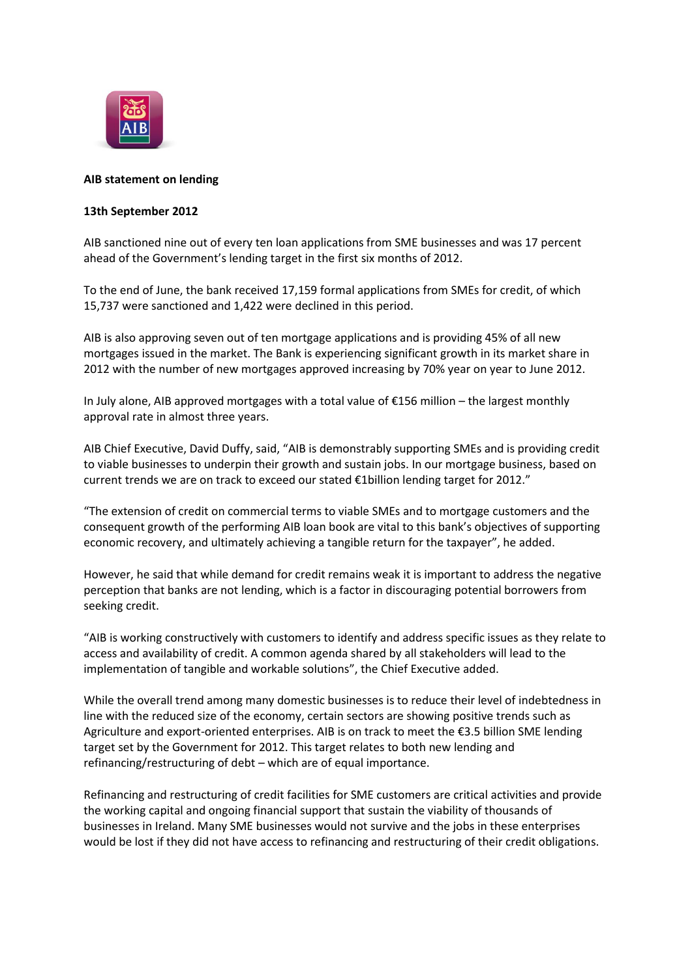

## **AIB statement on lending**

## **13th September 2012**

AIB sanctioned nine out of every ten loan applications from SME businesses and was 17 percent ahead of the Government's lending target in the first six months of 2012.

To the end of June, the bank received 17,159 formal applications from SMEs for credit, of which 15,737 were sanctioned and 1,422 were declined in this period.

AIB is also approving seven out of ten mortgage applications and is providing 45% of all new mortgages issued in the market. The Bank is experiencing significant growth in its market share in 2012 with the number of new mortgages approved increasing by 70% year on year to June 2012.

In July alone, AIB approved mortgages with a total value of €156 million – the largest monthly approval rate in almost three years.

AIB Chief Executive, David Duffy, said, "AIB is demonstrably supporting SMEs and is providing credit to viable businesses to underpin their growth and sustain jobs. In our mortgage business, based on current trends we are on track to exceed our stated €1billion lending target for 2012."

"The extension of credit on commercial terms to viable SMEs and to mortgage customers and the consequent growth of the performing AIB loan book are vital to this bank's objectives of supporting economic recovery, and ultimately achieving a tangible return for the taxpayer", he added.

However, he said that while demand for credit remains weak it is important to address the negative perception that banks are not lending, which is a factor in discouraging potential borrowers from seeking credit.

"AIB is working constructively with customers to identify and address specific issues as they relate to access and availability of credit. A common agenda shared by all stakeholders will lead to the implementation of tangible and workable solutions", the Chief Executive added.

While the overall trend among many domestic businesses is to reduce their level of indebtedness in line with the reduced size of the economy, certain sectors are showing positive trends such as Agriculture and export-oriented enterprises. AIB is on track to meet the €3.5 billion SME lending target set by the Government for 2012. This target relates to both new lending and refinancing/restructuring of debt – which are of equal importance.

Refinancing and restructuring of credit facilities for SME customers are critical activities and provide the working capital and ongoing financial support that sustain the viability of thousands of businesses in Ireland. Many SME businesses would not survive and the jobs in these enterprises would be lost if they did not have access to refinancing and restructuring of their credit obligations.